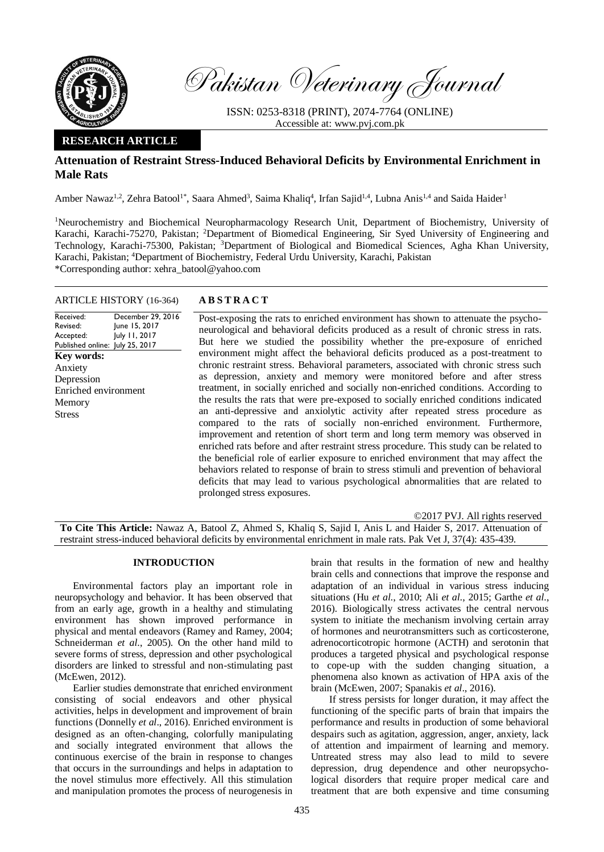

Pakistan Veterinary Journal

ISSN: 0253-8318 (PRINT), 2074-7764 (ONLINE) Accessible at: [www.pvj.com.pk](http://www.pvj.com.pk/)

# **RESEARCH ARTICLE**

# **Attenuation of Restraint Stress-Induced Behavioral Deficits by Environmental Enrichment in Male Rats**

Amber Nawaz<sup>1,2</sup>, Zehra Batool<sup>1\*</sup>, Saara Ahmed<sup>3</sup>, Saima Khaliq<sup>4</sup>, Irfan Sajid<sup>1,4</sup>, Lubna Anis<sup>1,4</sup> and Saida Haider<sup>1</sup>

<sup>1</sup>Neurochemistry and Biochemical Neuropharmacology Research Unit, Department of Biochemistry, University of Karachi, Karachi-75270, Pakistan; <sup>2</sup>Department of Biomedical Engineering, Sir Syed University of Engineering and Technology, Karachi-75300, Pakistan; <sup>3</sup>Department of Biological and Biomedical Sciences, Agha Khan University, Karachi, Pakistan; <sup>4</sup>Department of Biochemistry, Federal Urdu University, Karachi, Pakistan \*Corresponding author: xehra\_batool@yahoo.com

## ARTICLE HISTORY (16-364) **A B S T R A C T**

Revised: Accepted: Published online: July 25, 2017 December 29, 2016 June 15, 2017 July 11, 2017 **Key words:**  Anxiety Depression Enriched environment Memory Stress

Received:

Post-exposing the rats to enriched environment has shown to attenuate the psychoneurological and behavioral deficits produced as a result of chronic stress in rats. But here we studied the possibility whether the pre-exposure of enriched environment might affect the behavioral deficits produced as a post-treatment to chronic restraint stress. Behavioral parameters, associated with chronic stress such as depression, anxiety and memory were monitored before and after stress treatment, in socially enriched and socially non-enriched conditions. According to the results the rats that were pre-exposed to socially enriched conditions indicated an anti-depressive and anxiolytic activity after repeated stress procedure as compared to the rats of socially non-enriched environment. Furthermore, improvement and retention of short term and long term memory was observed in enriched rats before and after restraint stress procedure. This study can be related to the beneficial role of earlier exposure to enriched environment that may affect the behaviors related to response of brain to stress stimuli and prevention of behavioral deficits that may lead to various psychological abnormalities that are related to prolonged stress exposures.

©2017 PVJ. All rights reserved **To Cite This Article:** Nawaz A, Batool Z, Ahmed S, Khaliq S, Sajid I, Anis L and Haider S, 2017. Attenuation of restraint stress-induced behavioral deficits by environmental enrichment in male rats. Pak Vet J, 37(4): 435-439.

### **INTRODUCTION**

Environmental factors play an important role in neuropsychology and behavior. It has been observed that from an early age, growth in a healthy and stimulating environment has shown improved performance in physical and mental endeavors (Ramey and Ramey, 2004; Schneiderman *et al*., 2005). On the other hand mild to severe forms of stress, depression and other psychological disorders are linked to stressful and non-stimulating past (McEwen, 2012).

Earlier studies demonstrate that enriched environment consisting of social endeavors and other physical activities, helps in development and improvement of brain functions (Donnelly *et al*., 2016). Enriched environment is designed as an often-changing, colorfully manipulating and socially integrated environment that allows the continuous exercise of the brain in response to changes that occurs in the surroundings and helps in adaptation to the novel stimulus more effectively. All this stimulation and manipulation promotes the process of neurogenesis in

brain that results in the formation of new and healthy brain cells and connections that improve the response and adaptation of an individual in various stress inducing situations (Hu *et al*., 2010; Ali *et al*., 2015; Garthe *et al*., 2016). Biologically stress activates the central nervous system to initiate the mechanism involving certain array of hormones and neurotransmitters such as corticosterone, adrenocorticotropic hormone (ACTH) and serotonin that produces a targeted physical and psychological response to cope-up with the sudden changing situation, a phenomena also known as activation of HPA axis of the brain (McEwen, 2007; Spanakis *et al*., 2016).

If stress persists for longer duration, it may affect the functioning of the specific parts of brain that impairs the performance and results in production of some behavioral despairs such as agitation, aggression, anger, anxiety, lack of attention and impairment of learning and memory. Untreated stress may also lead to mild to severe depression, drug dependence and other neuropsychological disorders that require proper medical care and treatment that are both expensive and time consuming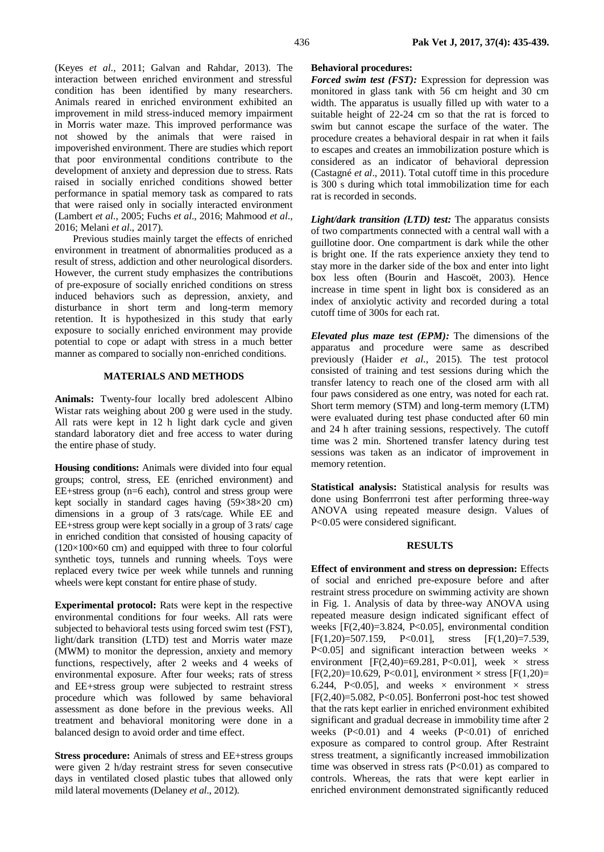(Keyes *et al*., 2011; Galvan and Rahdar, 2013). The interaction between enriched environment and stressful condition has been identified by many researchers. Animals reared in enriched environment exhibited an improvement in mild stress-induced memory impairment in Morris water maze. This improved performance was not showed by the animals that were raised in impoverished environment. There are studies which report that poor environmental conditions contribute to the development of anxiety and depression due to stress. Rats raised in socially enriched conditions showed better performance in spatial memory task as compared to rats that were raised only in socially interacted environment (Lambert *et al*., 2005; Fuchs *et al*., 2016; Mahmood *et al*., 2016; Melani *et al*., 2017).

Previous studies mainly target the effects of enriched environment in treatment of abnormalities produced as a result of stress, addiction and other neurological disorders. However, the current study emphasizes the contributions of pre-exposure of socially enriched conditions on stress induced behaviors such as depression, anxiety, and disturbance in short term and long-term memory retention. It is hypothesized in this study that early exposure to socially enriched environment may provide potential to cope or adapt with stress in a much better manner as compared to socially non-enriched conditions.

## **MATERIALS AND METHODS**

**Animals:** Twenty-four locally bred adolescent Albino Wistar rats weighing about 200 g were used in the study. All rats were kept in 12 h light dark cycle and given standard laboratory diet and free access to water during the entire phase of study.

**Housing conditions:** Animals were divided into four equal groups; control, stress, EE (enriched environment) and EE+stress group (n=6 each), control and stress group were kept socially in standard cages having (59×38×20 cm) dimensions in a group of 3 rats/cage. While EE and EE+stress group were kept socially in a group of 3 rats/ cage in enriched condition that consisted of housing capacity of  $(120\times100\times60$  cm) and equipped with three to four colorful synthetic toys, tunnels and running wheels. Toys were replaced every twice per week while tunnels and running wheels were kept constant for entire phase of study.

**Experimental protocol:** Rats were kept in the respective environmental conditions for four weeks. All rats were subjected to behavioral tests using forced swim test (FST), light/dark transition (LTD) test and Morris water maze (MWM) to monitor the depression, anxiety and memory functions, respectively, after 2 weeks and 4 weeks of environmental exposure. After four weeks; rats of stress and EE+stress group were subjected to restraint stress procedure which was followed by same behavioral assessment as done before in the previous weeks. All treatment and behavioral monitoring were done in a balanced design to avoid order and time effect.

**Stress procedure:** Animals of stress and EE+stress groups were given 2 h/day restraint stress for seven consecutive days in ventilated closed plastic tubes that allowed only mild lateral movements (Delaney *et al*., 2012).

# **Behavioral procedures:**

*Forced swim test (FST):* Expression for depression was monitored in glass tank with 56 cm height and 30 cm width. The apparatus is usually filled up with water to a suitable height of 22-24 cm so that the rat is forced to swim but cannot escape the surface of the water. The procedure creates a behavioral despair in rat when it fails to escapes and creates an immobilization posture which is considered as an indicator of behavioral depression (Castagné *et al*., 2011). Total cutoff time in this procedure is 300 s during which total immobilization time for each rat is recorded in seconds.

*Light/dark transition (LTD) test:* The apparatus consists of two compartments connected with a central wall with a guillotine door. One compartment is dark while the other is bright one. If the rats experience anxiety they tend to stay more in the darker side of the box and enter into light box less often (Bourin and Hascoët, 2003). Hence increase in time spent in light box is considered as an index of anxiolytic activity and recorded during a total cutoff time of 300s for each rat.

*Elevated plus maze test (EPM):* The dimensions of the apparatus and procedure were same as described previously (Haider *et al*., 2015). The test protocol consisted of training and test sessions during which the transfer latency to reach one of the closed arm with all four paws considered as one entry, was noted for each rat. Short term memory (STM) and long-term memory (LTM) were evaluated during test phase conducted after 60 min and 24 h after training sessions, respectively. The cutoff time was 2 min. Shortened transfer latency during test sessions was taken as an indicator of improvement in memory retention.

**Statistical analysis:** Statistical analysis for results was done using Bonferrroni test after performing three-way ANOVA using repeated measure design. Values of P<0.05 were considered significant.

#### **RESULTS**

**Effect of environment and stress on depression:** Effects of social and enriched pre-exposure before and after restraint stress procedure on swimming activity are shown in Fig. 1. Analysis of data by three-way ANOVA using repeated measure design indicated significant effect of weeks  $[F(2,40)=3.824, P<0.05]$ , environmental condition  $[F(1,20)=507.159, P<0.01], \text{stress}$   $[F(1,20)=7.539,$ P<0.05] and significant interaction between weeks  $\times$ environment  $[F(2,40)=69.281, P<0.01]$ , week  $\times$  stress  $[F(2,20)=10.629, P<0.01]$ , environment  $\times$  stress  $[F(1,20)=$ 6.244, P<0.05], and weeks  $\times$  environment  $\times$  stress  $[F(2,40)=5.082, P<0.05]$ . Bonferroni post-hoc test showed that the rats kept earlier in enriched environment exhibited significant and gradual decrease in immobility time after 2 weeks  $(P<0.01)$  and 4 weeks  $(P<0.01)$  of enriched exposure as compared to control group. After Restraint stress treatment, a significantly increased immobilization time was observed in stress rats  $(P<0.01)$  as compared to controls. Whereas, the rats that were kept earlier in enriched environment demonstrated significantly reduced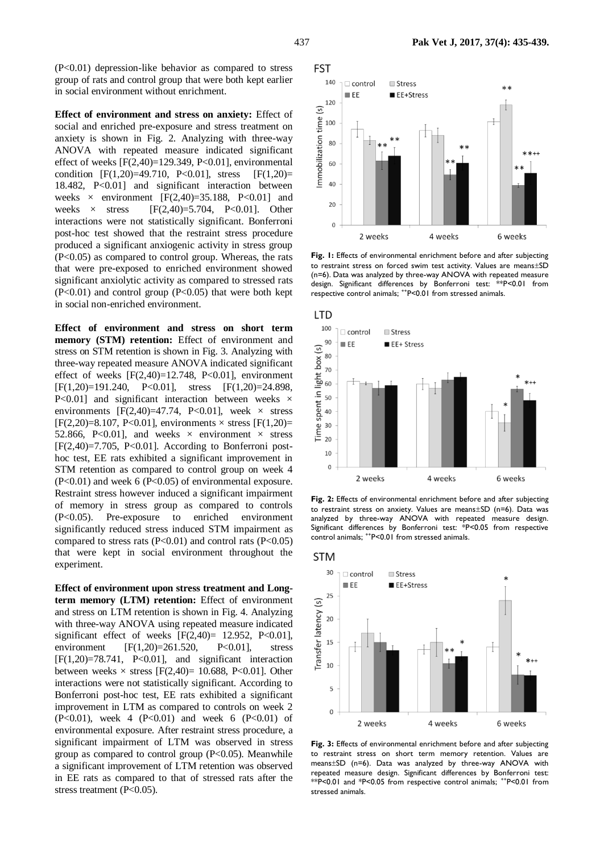**Effect of environment and stress on anxiety:** Effect of social and enriched pre-exposure and stress treatment on anxiety is shown in Fig. 2. Analyzing with three-way ANOVA with repeated measure indicated significant effect of weeks  $[F(2,40)=129.349, P<0.01]$ , environmental condition  $[F(1,20)=49.710, P<0.01]$ , stress  $[F(1,20)=$ 18.482, P<0.01] and significant interaction between weeks  $\times$  environment [F(2,40)=35.188, P<0.01] and weeks  $\times$  stress [F(2,40)=5.704, P<0.01]. Other interactions were not statistically significant. Bonferroni post-hoc test showed that the restraint stress procedure produced a significant anxiogenic activity in stress group (P<0.05) as compared to control group. Whereas, the rats that were pre-exposed to enriched environment showed significant anxiolytic activity as compared to stressed rats  $(P<0.01)$  and control group  $(P<0.05)$  that were both kept in social non-enriched environment.

**Effect of environment and stress on short term memory (STM) retention:** Effect of environment and stress on STM retention is shown in Fig. 3. Analyzing with three-way repeated measure ANOVA indicated significant effect of weeks  $[F(2,40)=12.748, P<0.01]$ , environment  $[F(1,20)=191.240, P<0.01],$  stress  $[F(1,20)=24.898,$ P<0.01] and significant interaction between weeks  $\times$ environments [F(2,40)=47.74, P<0.01], week  $\times$  stress  $[F(2,20)=8.107, P<0.01]$ , environments  $\times$  stress  $[F(1,20)=$ 52.866, P<0.01], and weeks  $\times$  environment  $\times$  stress  $[F(2,40)=7.705, P<0.01]$ . According to Bonferroni posthoc test, EE rats exhibited a significant improvement in STM retention as compared to control group on week 4 (P<0.01) and week 6 (P<0.05) of environmental exposure. Restraint stress however induced a significant impairment of memory in stress group as compared to controls (P<0.05). Pre-exposure to enriched environment significantly reduced stress induced STM impairment as compared to stress rats  $(P<0.01)$  and control rats  $(P<0.05)$ that were kept in social environment throughout the experiment.

**Effect of environment upon stress treatment and Longterm memory (LTM) retention:** Effect of environment and stress on LTM retention is shown in Fig. 4. Analyzing with three-way ANOVA using repeated measure indicated significant effect of weeks  $[F(2,40)= 12.952, P<0.01]$ , environment [F(1,20)=261.520, P<0.01], stress  $[F(1,20)=78.741, P<0.01]$ , and significant interaction between weeks  $\times$  stress [F(2,40)= 10.688, P<0.01]. Other interactions were not statistically significant. According to Bonferroni post-hoc test, EE rats exhibited a significant improvement in LTM as compared to controls on week 2 (P<0.01), week 4 (P<0.01) and week 6 (P<0.01) of environmental exposure. After restraint stress procedure, a significant impairment of LTM was observed in stress group as compared to control group  $(P<0.05)$ . Meanwhile a significant improvement of LTM retention was observed in EE rats as compared to that of stressed rats after the stress treatment (P<0.05).



**Fig. 1:** Effects of environmental enrichment before and after subjecting to restraint stress on forced swim test activity. Values are means±SD (n=6). Data was analyzed by three-way ANOVA with repeated measure design. Significant differences by Bonferroni test: \*\*P<0.01 from respective control animals; ++P<0.01 from stressed animals.



**Fig. 2:** Effects of environmental enrichment before and after subjecting to restraint stress on anxiety. Values are means $\pm$ SD (n=6). Data was analyzed by three-way ANOVA with repeated measure design. Significant differences by Bonferroni test: \*P<0.05 from respective control animals;  $+P<0.01$  from stressed animals.



**Fig. 3:** Effects of environmental enrichment before and after subjecting to restraint stress on short term memory retention. Values are means±SD (n=6). Data was analyzed by three-way ANOVA with repeated measure design. Significant differences by Bonferroni test: \*\*P<0.01 and \*P<0.05 from respective control animals; ++P<0.01 from stressed animals.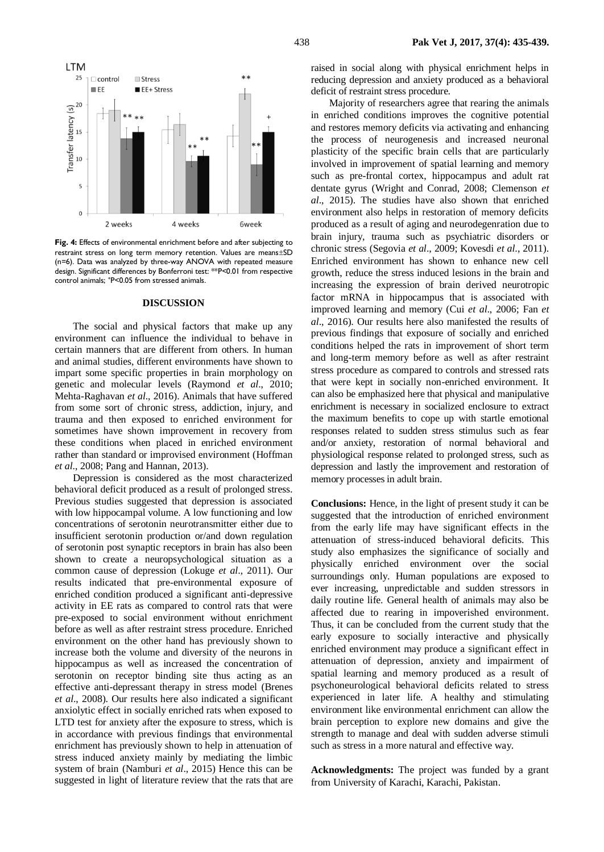

**Fig. 4:** Effects of environmental enrichment before and after subjecting to restraint stress on long term memory retention. Values are means $\pm$ SD (n=6). Data was analyzed by three-way ANOVA with repeated measure design. Significant differences by Bonferroni test: \*\*P<0.01 from respective control animals; <sup>+</sup> P<0.05 from stressed animals.

#### **DISCUSSION**

The social and physical factors that make up any environment can influence the individual to behave in certain manners that are different from others. In human and animal studies, different environments have shown to impart some specific properties in brain morphology on genetic and molecular levels (Raymond *et al*., 2010; Mehta-Raghavan *et al*., 2016). Animals that have suffered from some sort of chronic stress, addiction, injury, and trauma and then exposed to enriched environment for sometimes have shown improvement in recovery from these conditions when placed in enriched environment rather than standard or improvised environment (Hoffman *et al*., 2008; Pang and Hannan, 2013).

Depression is considered as the most characterized behavioral deficit produced as a result of prolonged stress. Previous studies suggested that depression is associated with low hippocampal volume. A low functioning and low concentrations of serotonin neurotransmitter either due to insufficient serotonin production or/and down regulation of serotonin post synaptic receptors in brain has also been shown to create a neuropsychological situation as a common cause of depression (Lokuge *et al*., 2011). Our results indicated that pre-environmental exposure of enriched condition produced a significant anti-depressive activity in EE rats as compared to control rats that were pre-exposed to social environment without enrichment before as well as after restraint stress procedure. Enriched environment on the other hand has previously shown to increase both the volume and diversity of the neurons in hippocampus as well as increased the concentration of serotonin on receptor binding site thus acting as an effective anti-depressant therapy in stress model (Brenes *et al*., 2008). Our results here also indicated a significant anxiolytic effect in socially enriched rats when exposed to LTD test for anxiety after the exposure to stress, which is in accordance with previous findings that environmental enrichment has previously shown to help in attenuation of stress induced anxiety mainly by mediating the limbic system of brain (Namburi *et al*., 2015) Hence this can be suggested in light of literature review that the rats that are

raised in social along with physical enrichment helps in reducing depression and anxiety produced as a behavioral deficit of restraint stress procedure.

Majority of researchers agree that rearing the animals in enriched conditions improves the cognitive potential and restores memory deficits via activating and enhancing the process of neurogenesis and increased neuronal plasticity of the specific brain cells that are particularly involved in improvement of spatial learning and memory such as pre-frontal cortex, hippocampus and adult rat dentate gyrus (Wright and Conrad, 2008; Clemenson *et al*., 2015). The studies have also shown that enriched environment also helps in restoration of memory deficits produced as a result of aging and neurodegenration due to brain injury, trauma such as psychiatric disorders or chronic stress (Segovia *et al*., 2009; Kovesdi *et al*., 2011). Enriched environment has shown to enhance new cell growth, reduce the stress induced lesions in the brain and increasing the expression of brain derived neurotropic factor mRNA in hippocampus that is associated with improved learning and memory (Cui *et al*., 2006; Fan *et al*., 2016). Our results here also manifested the results of previous findings that exposure of socially and enriched conditions helped the rats in improvement of short term and long-term memory before as well as after restraint stress procedure as compared to controls and stressed rats that were kept in socially non-enriched environment. It can also be emphasized here that physical and manipulative enrichment is necessary in socialized enclosure to extract the maximum benefits to cope up with startle emotional responses related to sudden stress stimulus such as fear and/or anxiety, restoration of normal behavioral and physiological response related to prolonged stress, such as depression and lastly the improvement and restoration of memory processes in adult brain.

**Conclusions:** Hence, in the light of present study it can be suggested that the introduction of enriched environment from the early life may have significant effects in the attenuation of stress-induced behavioral deficits. This study also emphasizes the significance of socially and physically enriched environment over the social surroundings only. Human populations are exposed to ever increasing, unpredictable and sudden stressors in daily routine life. General health of animals may also be affected due to rearing in impoverished environment. Thus, it can be concluded from the current study that the early exposure to socially interactive and physically enriched environment may produce a significant effect in attenuation of depression, anxiety and impairment of spatial learning and memory produced as a result of psychoneurological behavioral deficits related to stress experienced in later life. A healthy and stimulating environment like environmental enrichment can allow the brain perception to explore new domains and give the strength to manage and deal with sudden adverse stimuli such as stress in a more natural and effective way.

**Acknowledgments:** The project was funded by a grant from University of Karachi, Karachi, Pakistan.